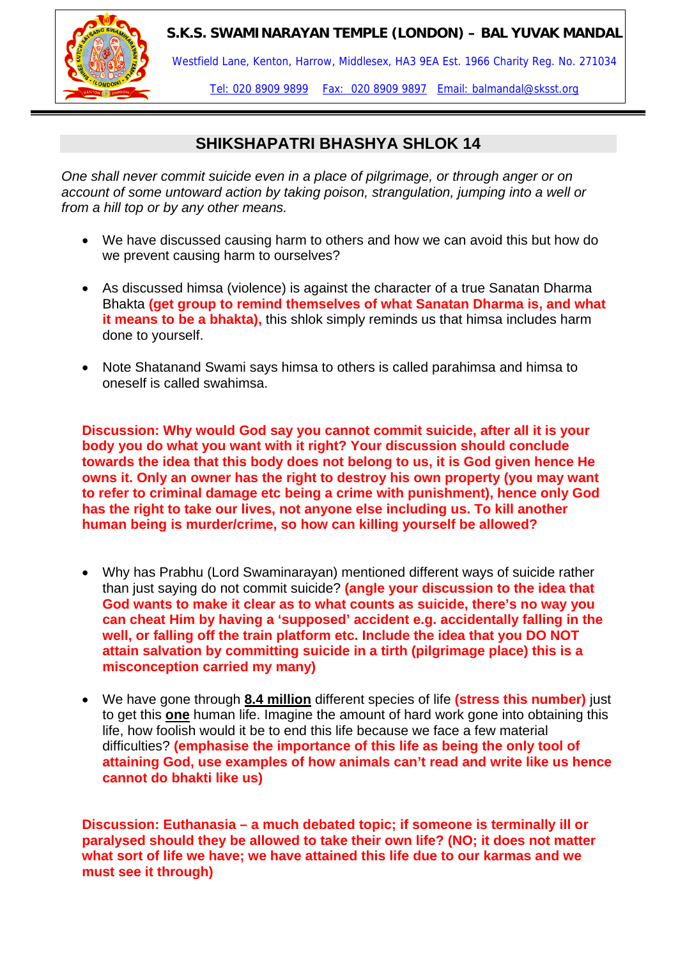

Westfield Lane, Kenton, Harrow, Middlesex, HA3 9EA Est. 1966 Charity Reg. No. 271034

Tel: 020 8909 9899 Fax: 020 8909 9897 Email: balmandal@sksst.org

# **SHIKSHAPATRI BHASHYA SHLOK 14**

*One shall never commit suicide even in a place of pilgrimage, or through anger or on account of some untoward action by taking poison, strangulation, jumping into a well or from a hill top or by any other means.* 

- We have discussed causing harm to others and how we can avoid this but how do we prevent causing harm to ourselves?
- As discussed himsa (violence) is against the character of a true Sanatan Dharma Bhakta **(get group to remind themselves of what Sanatan Dharma is, and what it means to be a bhakta),** this shlok simply reminds us that himsa includes harm done to yourself.
- Note Shatanand Swami says himsa to others is called parahimsa and himsa to oneself is called swahimsa.

**Discussion: Why would God say you cannot commit suicide, after all it is your body you do what you want with it right? Your discussion should conclude towards the idea that this body does not belong to us, it is God given hence He owns it. Only an owner has the right to destroy his own property (you may want to refer to criminal damage etc being a crime with punishment), hence only God has the right to take our lives, not anyone else including us. To kill another human being is murder/crime, so how can killing yourself be allowed?** 

- Why has Prabhu (Lord Swaminarayan) mentioned different ways of suicide rather than just saying do not commit suicide? **(angle your discussion to the idea that God wants to make it clear as to what counts as suicide, there's no way you can cheat Him by having a 'supposed' accident e.g. accidentally falling in the well, or falling off the train platform etc. Include the idea that you DO NOT attain salvation by committing suicide in a tirth (pilgrimage place) this is a misconception carried my many)**
- We have gone through **8.4 million** different species of life **(stress this number)** just to get this **one** human life. Imagine the amount of hard work gone into obtaining this life, how foolish would it be to end this life because we face a few material difficulties? **(emphasise the importance of this life as being the only tool of attaining God, use examples of how animals can't read and write like us hence cannot do bhakti like us)**

**Discussion: Euthanasia – a much debated topic; if someone is terminally ill or paralysed should they be allowed to take their own life? (NO; it does not matter what sort of life we have; we have attained this life due to our karmas and we must see it through)**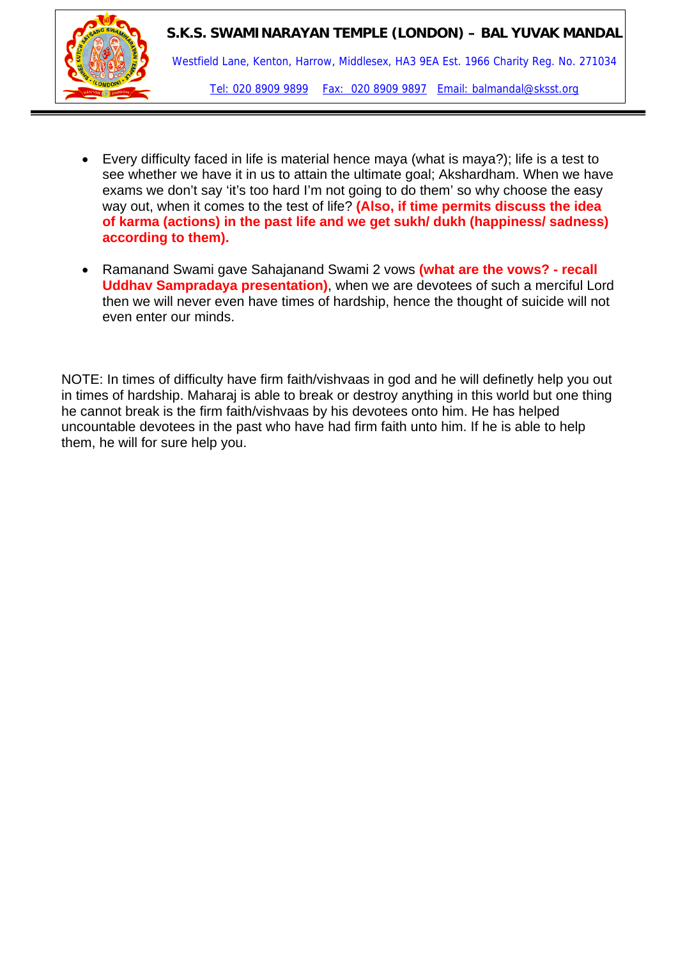

- Every difficulty faced in life is material hence maya (what is maya?); life is a test to see whether we have it in us to attain the ultimate goal; Akshardham. When we have exams we don't say 'it's too hard I'm not going to do them' so why choose the easy way out, when it comes to the test of life? **(Also, if time permits discuss the idea of karma (actions) in the past life and we get sukh/ dukh (happiness/ sadness) according to them).**
- Ramanand Swami gave Sahajanand Swami 2 vows **(what are the vows? recall Uddhav Sampradaya presentation)**, when we are devotees of such a merciful Lord then we will never even have times of hardship, hence the thought of suicide will not even enter our minds.

NOTE: In times of difficulty have firm faith/vishvaas in god and he will definetly help you out in times of hardship. Maharaj is able to break or destroy anything in this world but one thing he cannot break is the firm faith/vishvaas by his devotees onto him. He has helped uncountable devotees in the past who have had firm faith unto him. If he is able to help them, he will for sure help you.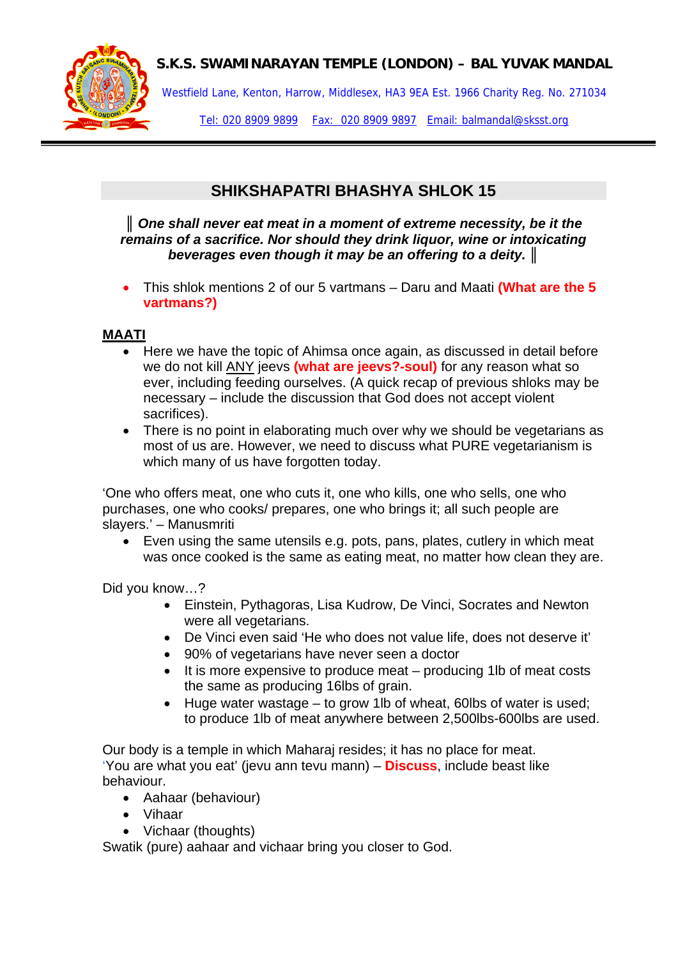

Westfield Lane, Kenton, Harrow, Middlesex, HA3 9EA Est. 1966 Charity Reg. No. 271034

Tel: 020 8909 9899 Fax: 020 8909 9897 Email: balmandal@sksst.org

# **SHIKSHAPATRI BHASHYA SHLOK 15**

*║ One shall never eat meat in a moment of extreme necessity, be it the remains of a sacrifice. Nor should they drink liquor, wine or intoxicating beverages even though it may be an offering to a deity. ║*

• This shlok mentions 2 of our 5 vartmans – Daru and Maati **(What are the 5 vartmans?)** 

### **MAATI**

- Here we have the topic of Ahimsa once again, as discussed in detail before we do not kill ANY jeevs **(what are jeevs?-soul)** for any reason what so ever, including feeding ourselves. (A quick recap of previous shloks may be necessary – include the discussion that God does not accept violent sacrifices).
- There is no point in elaborating much over why we should be vegetarians as most of us are. However, we need to discuss what PURE vegetarianism is which many of us have forgotten today.

'One who offers meat, one who cuts it, one who kills, one who sells, one who purchases, one who cooks/ prepares, one who brings it; all such people are slayers.' – Manusmriti

• Even using the same utensils e.g. pots, pans, plates, cutlery in which meat was once cooked is the same as eating meat, no matter how clean they are.

Did you know…?

- Einstein, Pythagoras, Lisa Kudrow, De Vinci, Socrates and Newton were all vegetarians.
- De Vinci even said 'He who does not value life, does not deserve it'
- 90% of vegetarians have never seen a doctor
- It is more expensive to produce meat producing 1lb of meat costs the same as producing 16lbs of grain.
- Huge water wastage to grow 1lb of wheat, 60lbs of water is used; to produce 1lb of meat anywhere between 2,500lbs-600lbs are used.

Our body is a temple in which Maharaj resides; it has no place for meat. 'You are what you eat' (jevu ann tevu mann) – **Discuss**, include beast like behaviour.

- Aahaar (behaviour)
- Vihaar
- Vichaar (thoughts)

Swatik (pure) aahaar and vichaar bring you closer to God.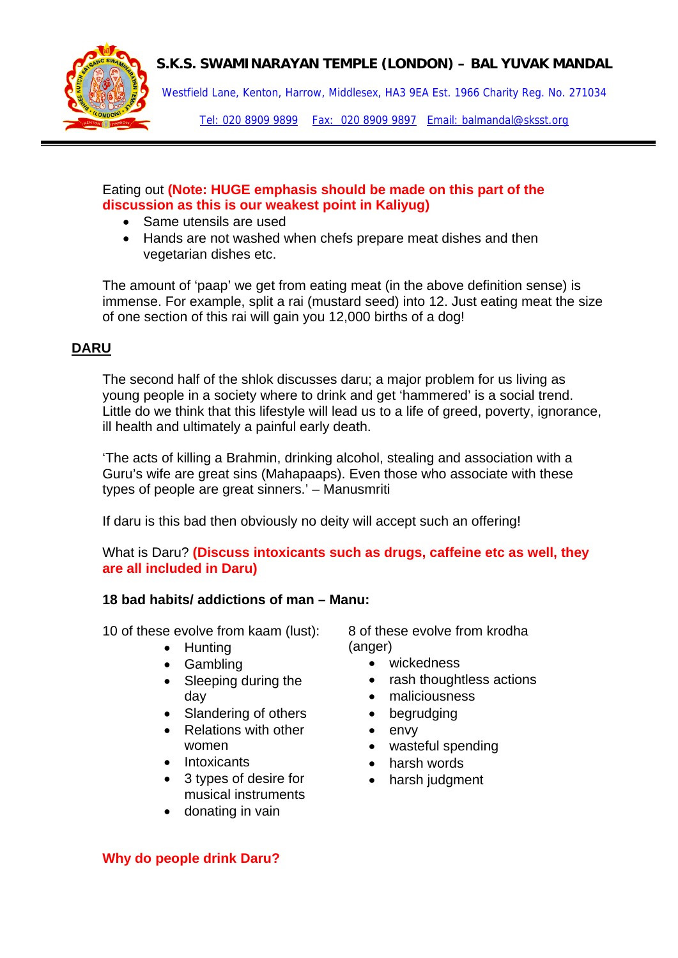

Westfield Lane, Kenton, Harrow, Middlesex, HA3 9EA Est. 1966 Charity Reg. No. 271034

Tel: 020 8909 9899 Fax: 020 8909 9897 Email: balmandal@sksst.org

#### Eating out **(Note: HUGE emphasis should be made on this part of the discussion as this is our weakest point in Kaliyug)**

- Same utensils are used
- Hands are not washed when chefs prepare meat dishes and then vegetarian dishes etc.

The amount of 'paap' we get from eating meat (in the above definition sense) is immense. For example, split a rai (mustard seed) into 12. Just eating meat the size of one section of this rai will gain you 12,000 births of a dog!

## **DARU**

The second half of the shlok discusses daru; a major problem for us living as young people in a society where to drink and get 'hammered' is a social trend. Little do we think that this lifestyle will lead us to a life of greed, poverty, ignorance, ill health and ultimately a painful early death.

'The acts of killing a Brahmin, drinking alcohol, stealing and association with a Guru's wife are great sins (Mahapaaps). Even those who associate with these types of people are great sinners.' – Manusmriti

If daru is this bad then obviously no deity will accept such an offering!

What is Daru? **(Discuss intoxicants such as drugs, caffeine etc as well, they are all included in Daru)** 

#### **18 bad habits/ addictions of man – Manu:**

10 of these evolve from kaam (lust):

- Hunting
- Gambling
- Sleeping during the day
- Slandering of others
- Relations with other women
- Intoxicants
- 3 types of desire for musical instruments
- donating in vain

8 of these evolve from krodha (anger)

- wickedness
- rash thoughtless actions
- maliciousness
- begrudging
- envy
- wasteful spending
- harsh words
- harsh judgment

**Why do people drink Daru?**